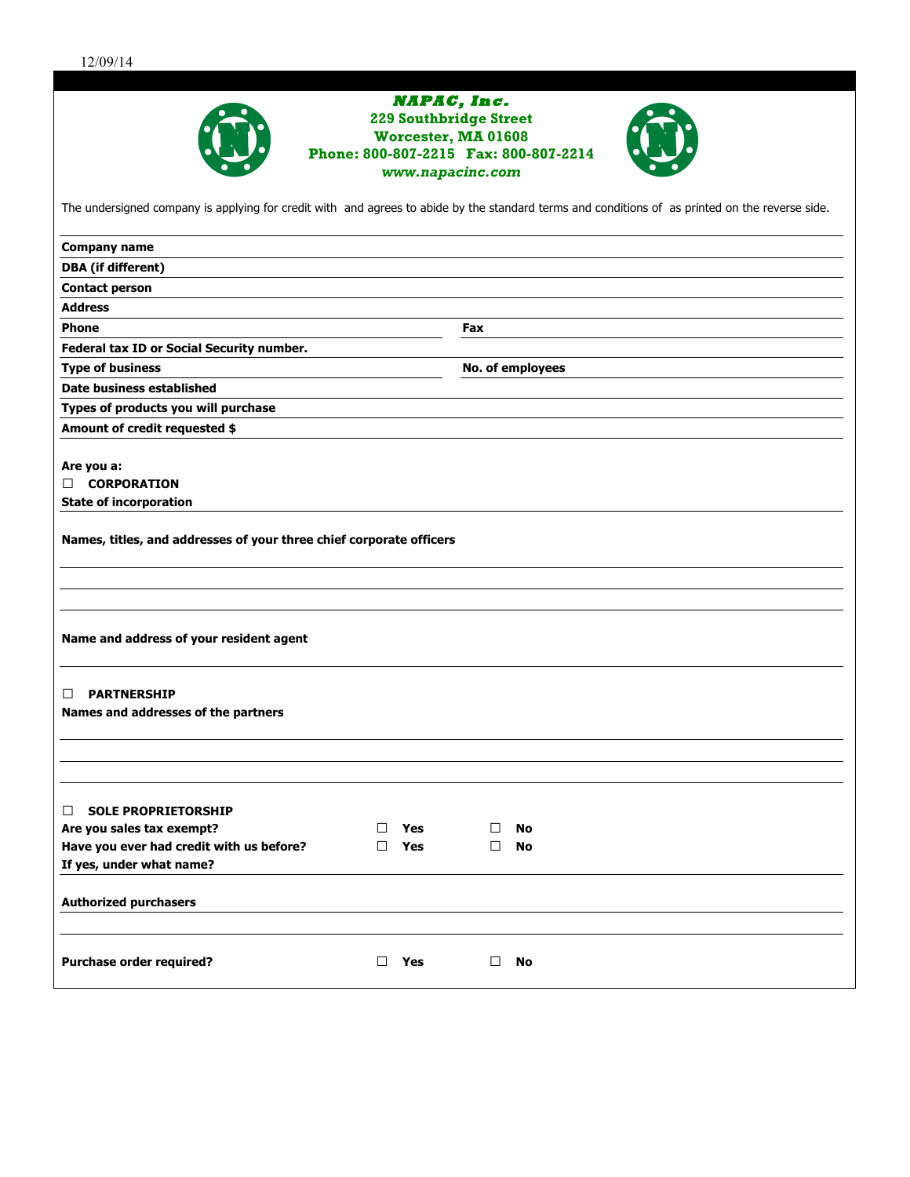| NAPAC, Inc.<br><b>229 Southbridge Street</b><br>Worcester, MA 01608                                                                             |                  |  |
|-------------------------------------------------------------------------------------------------------------------------------------------------|------------------|--|
|                                                                                                                                                 |                  |  |
| www.napacinc.com                                                                                                                                |                  |  |
| The undersigned company is applying for credit with and agrees to abide by the standard terms and conditions of as printed on the reverse side. |                  |  |
| <b>Company name</b>                                                                                                                             |                  |  |
| <b>DBA</b> (if different)                                                                                                                       |                  |  |
| <b>Contact person</b>                                                                                                                           |                  |  |
| <b>Address</b>                                                                                                                                  |                  |  |
| <b>Phone</b>                                                                                                                                    | <b>Fax</b>       |  |
| Federal tax ID or Social Security number.                                                                                                       |                  |  |
| <b>Type of business</b>                                                                                                                         | No. of employees |  |
| <b>Date business established</b>                                                                                                                |                  |  |
| Types of products you will purchase                                                                                                             |                  |  |
| Amount of credit requested \$                                                                                                                   |                  |  |
|                                                                                                                                                 |                  |  |
| Are you a:<br><b>CORPORATION</b><br>□.                                                                                                          |                  |  |
| <b>State of incorporation</b>                                                                                                                   |                  |  |
|                                                                                                                                                 |                  |  |
| Names, titles, and addresses of your three chief corporate officers                                                                             |                  |  |
|                                                                                                                                                 |                  |  |
|                                                                                                                                                 |                  |  |
| Name and address of your resident agent                                                                                                         |                  |  |
|                                                                                                                                                 |                  |  |
| <b>PARTNERSHIP</b><br>□                                                                                                                         |                  |  |
| Names and addresses of the partners                                                                                                             |                  |  |
|                                                                                                                                                 |                  |  |
|                                                                                                                                                 |                  |  |
|                                                                                                                                                 |                  |  |
| <b>SOLE PROPRIETORSHIP</b><br>□                                                                                                                 |                  |  |
| Are you sales tax exempt?<br>Yes<br>$\perp$                                                                                                     | $\Box$<br>No     |  |
| Have you ever had credit with us before?<br>Yes<br>$\Box$                                                                                       | $\Box$<br>No     |  |
| If yes, under what name?                                                                                                                        |                  |  |
| <b>Authorized purchasers</b>                                                                                                                    |                  |  |
|                                                                                                                                                 |                  |  |
| <b>Purchase order required?</b><br>$\Box$<br>Yes                                                                                                | $\Box$<br>No     |  |
|                                                                                                                                                 |                  |  |